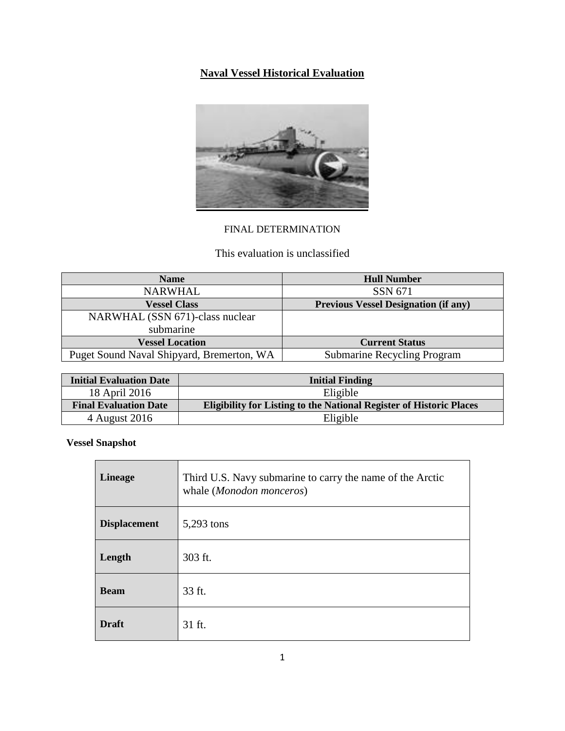# **Naval Vessel Historical Evaluation**



# FINAL DETERMINATION

# This evaluation is unclassified

| <b>Name</b>                               | <b>Hull Number</b>                          |
|-------------------------------------------|---------------------------------------------|
| <b>NARWHAL</b>                            | SSN 671                                     |
| <b>Vessel Class</b>                       | <b>Previous Vessel Designation (if any)</b> |
| NARWHAL (SSN 671)-class nuclear           |                                             |
| submarine                                 |                                             |
| <b>Vessel Location</b>                    | <b>Current Status</b>                       |
| Puget Sound Naval Shipyard, Bremerton, WA | Submarine Recycling Program                 |

| <b>Initial Evaluation Date</b> | <b>Initial Finding</b>                                                     |
|--------------------------------|----------------------------------------------------------------------------|
| 18 April 2016                  | Eligible                                                                   |
| <b>Final Evaluation Date</b>   | <b>Eligibility for Listing to the National Register of Historic Places</b> |
| 4 August 2016                  | Eligible                                                                   |

**Vessel Snapshot**

| <b>Lineage</b>      | Third U.S. Navy submarine to carry the name of the Arctic<br>whale (Monodon monceros) |
|---------------------|---------------------------------------------------------------------------------------|
| <b>Displacement</b> | 5,293 tons                                                                            |
| Length              | 303 ft.                                                                               |
| <b>Beam</b>         | 33 ft.                                                                                |
| <b>Draft</b>        | 31 ft.                                                                                |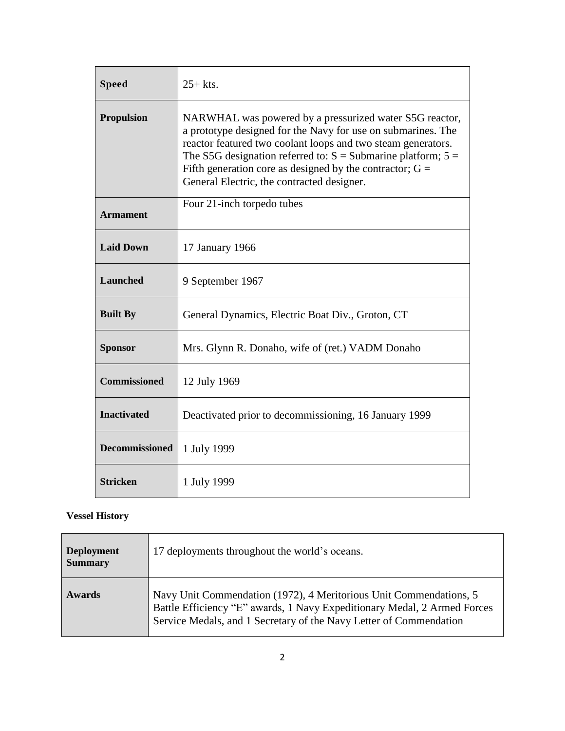| <b>Speed</b>          | $25+$ kts.                                                                                                                                                                                                                                                                                                                                                              |
|-----------------------|-------------------------------------------------------------------------------------------------------------------------------------------------------------------------------------------------------------------------------------------------------------------------------------------------------------------------------------------------------------------------|
| <b>Propulsion</b>     | NARWHAL was powered by a pressurized water S5G reactor,<br>a prototype designed for the Navy for use on submarines. The<br>reactor featured two coolant loops and two steam generators.<br>The S5G designation referred to: $S =$ Submarine platform; $5 =$<br>Fifth generation core as designed by the contractor; $G =$<br>General Electric, the contracted designer. |
| <b>Armament</b>       | Four 21-inch torpedo tubes                                                                                                                                                                                                                                                                                                                                              |
| <b>Laid Down</b>      | 17 January 1966                                                                                                                                                                                                                                                                                                                                                         |
| <b>Launched</b>       | 9 September 1967                                                                                                                                                                                                                                                                                                                                                        |
| <b>Built By</b>       | General Dynamics, Electric Boat Div., Groton, CT                                                                                                                                                                                                                                                                                                                        |
| <b>Sponsor</b>        | Mrs. Glynn R. Donaho, wife of (ret.) VADM Donaho                                                                                                                                                                                                                                                                                                                        |
| <b>Commissioned</b>   | 12 July 1969                                                                                                                                                                                                                                                                                                                                                            |
| <b>Inactivated</b>    | Deactivated prior to decommissioning, 16 January 1999                                                                                                                                                                                                                                                                                                                   |
| <b>Decommissioned</b> | 1 July 1999                                                                                                                                                                                                                                                                                                                                                             |
| <b>Stricken</b>       | 1 July 1999                                                                                                                                                                                                                                                                                                                                                             |

# **Vessel History**

| <b>Deployment</b><br><b>Summary</b> | 17 deployments throughout the world's oceans.                                                                                                                                                                        |
|-------------------------------------|----------------------------------------------------------------------------------------------------------------------------------------------------------------------------------------------------------------------|
| Awards                              | Navy Unit Commendation (1972), 4 Meritorious Unit Commendations, 5<br>Battle Efficiency "E" awards, 1 Navy Expeditionary Medal, 2 Armed Forces<br>Service Medals, and 1 Secretary of the Navy Letter of Commendation |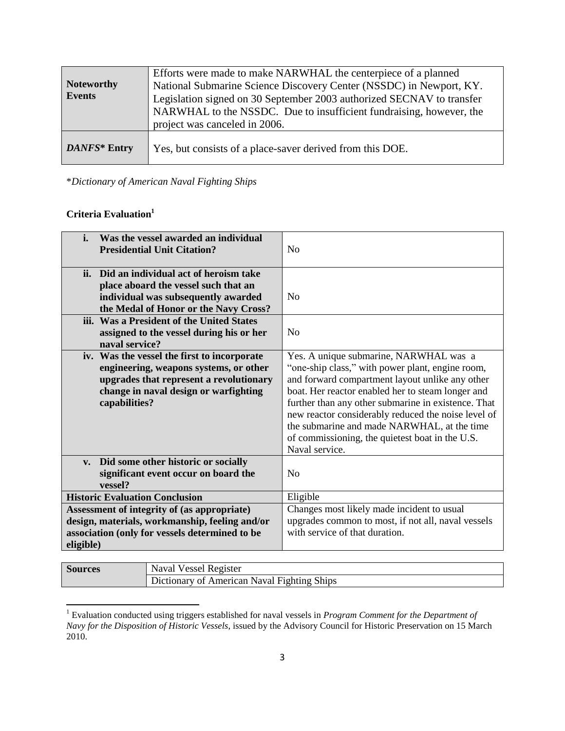| Noteworthy<br><b>Events</b> | Efforts were made to make NARWHAL the centerpiece of a planned<br>National Submarine Science Discovery Center (NSSDC) in Newport, KY.<br>Legislation signed on 30 September 2003 authorized SECNAV to transfer<br>NARWHAL to the NSSDC. Due to insufficient fundraising, however, the<br>project was canceled in 2006. |
|-----------------------------|------------------------------------------------------------------------------------------------------------------------------------------------------------------------------------------------------------------------------------------------------------------------------------------------------------------------|
| DANFS* Entry                | Yes, but consists of a place-saver derived from this DOE.                                                                                                                                                                                                                                                              |

\**Dictionary of American Naval Fighting Ships*

## **Criteria Evaluation<sup>1</sup>**

 $\overline{\phantom{a}}$ 

| Was the vessel awarded an individual<br>i.<br><b>Presidential Unit Citation?</b>                                                                                                           | N <sub>o</sub>                                                                                                                                                                                                                                                                                                                                                                                                                       |
|--------------------------------------------------------------------------------------------------------------------------------------------------------------------------------------------|--------------------------------------------------------------------------------------------------------------------------------------------------------------------------------------------------------------------------------------------------------------------------------------------------------------------------------------------------------------------------------------------------------------------------------------|
| ii. Did an individual act of heroism take<br>place aboard the vessel such that an<br>individual was subsequently awarded<br>the Medal of Honor or the Navy Cross?                          | N <sub>o</sub>                                                                                                                                                                                                                                                                                                                                                                                                                       |
| iii. Was a President of the United States<br>assigned to the vessel during his or her<br>naval service?                                                                                    | N <sub>o</sub>                                                                                                                                                                                                                                                                                                                                                                                                                       |
| iv. Was the vessel the first to incorporate<br>engineering, weapons systems, or other<br>upgrades that represent a revolutionary<br>change in naval design or warfighting<br>capabilities? | Yes. A unique submarine, NARWHAL was a<br>"one-ship class," with power plant, engine room,<br>and forward compartment layout unlike any other<br>boat. Her reactor enabled her to steam longer and<br>further than any other submarine in existence. That<br>new reactor considerably reduced the noise level of<br>the submarine and made NARWHAL, at the time<br>of commissioning, the quietest boat in the U.S.<br>Naval service. |
| v. Did some other historic or socially<br>significant event occur on board the<br>vessel?                                                                                                  | N <sub>o</sub>                                                                                                                                                                                                                                                                                                                                                                                                                       |
| <b>Historic Evaluation Conclusion</b>                                                                                                                                                      | Eligible                                                                                                                                                                                                                                                                                                                                                                                                                             |
| Assessment of integrity of (as appropriate)                                                                                                                                                | Changes most likely made incident to usual                                                                                                                                                                                                                                                                                                                                                                                           |
| design, materials, workmanship, feeling and/or                                                                                                                                             | upgrades common to most, if not all, naval vessels                                                                                                                                                                                                                                                                                                                                                                                   |
| association (only for vessels determined to be<br>eligible)                                                                                                                                | with service of that duration.                                                                                                                                                                                                                                                                                                                                                                                                       |

| ces" | Vessel Register<br>Naval                                       |
|------|----------------------------------------------------------------|
|      | ' of American Naval<br>Dictionary<br><b>Fighting</b><br>Shids. |

<sup>1</sup> Evaluation conducted using triggers established for naval vessels in *Program Comment for the Department of Navy for the Disposition of Historic Vessels*, issued by the Advisory Council for Historic Preservation on 15 March 2010.